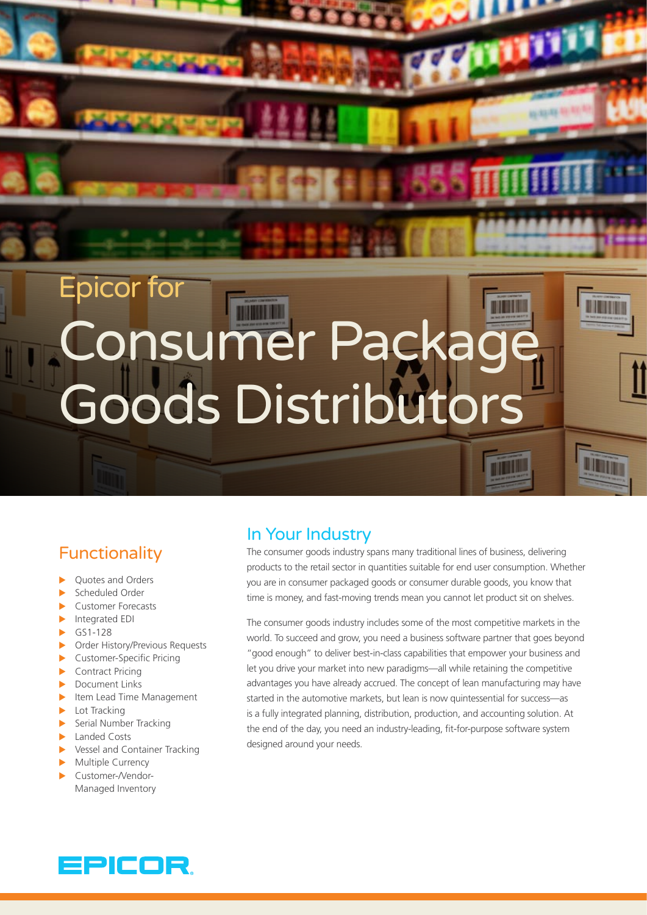# Epicor for Consumer Package Goods Distributors

**Policie** 

## **Functionality**

- **Ouotes and Orders**
- Scheduled Order
- Customer Forecasts
- $\blacktriangleright$  Integrated EDI
- $\blacktriangleright$  GS1-128
- ▶ Order History/Previous Requests
- $\blacktriangleright$  Customer-Specific Pricing
- $\blacktriangleright$  Contract Pricing
- $\blacktriangleright$  Document Links
- $\blacktriangleright$  Item Lead Time Management
- $\blacktriangleright$  Lot Tracking
- $\blacktriangleright$  Serial Number Tracking
- $\blacktriangleright$  Landed Costs
- $\blacktriangleright$  Vessel and Container Tracking
- $\blacktriangleright$  Multiple Currency
- Customer-/Vendor-Managed Inventory

## In Your Industry

The consumer goods industry spans many traditional lines of business, delivering products to the retail sector in quantities suitable for end user consumption. Whether you are in consumer packaged goods or consumer durable goods, you know that time is money, and fast-moving trends mean you cannot let product sit on shelves.

The consumer goods industry includes some of the most competitive markets in the world. To succeed and grow, you need a business software partner that goes beyond "good enough" to deliver best-in-class capabilities that empower your business and let you drive your market into new paradigms—all while retaining the competitive advantages you have already accrued. The concept of lean manufacturing may have started in the automotive markets, but lean is now quintessential for success—as is a fully integrated planning, distribution, production, and accounting solution. At the end of the day, you need an industry-leading, fit-for-purpose software system designed around your needs.

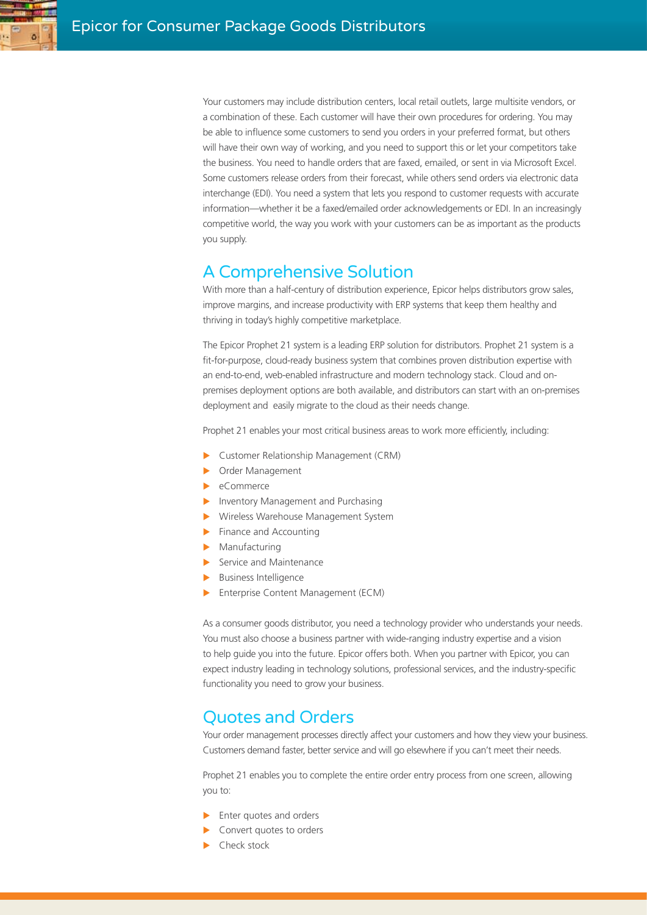

Your customers may include distribution centers, local retail outlets, large multisite vendors, or a combination of these. Each customer will have their own procedures for ordering. You may be able to influence some customers to send you orders in your preferred format, but others will have their own way of working, and you need to support this or let your competitors take the business. You need to handle orders that are faxed, emailed, or sent in via Microsoft Excel. Some customers release orders from their forecast, while others send orders via electronic data interchange (EDI). You need a system that lets you respond to customer requests with accurate information—whether it be a faxed/emailed order acknowledgements or EDI. In an increasingly competitive world, the way you work with your customers can be as important as the products you supply.

## A Comprehensive Solution

With more than a half-century of distribution experience, Epicor helps distributors grow sales, improve margins, and increase productivity with ERP systems that keep them healthy and thriving in today's highly competitive marketplace.

The Epicor Prophet 21 system is a leading ERP solution for distributors. Prophet 21 system is a fit-for-purpose, cloud-ready business system that combines proven distribution expertise with an end-to-end, web-enabled infrastructure and modern technology stack. Cloud and onpremises deployment options are both available, and distributors can start with an on-premises deployment and easily migrate to the cloud as their needs change.

Prophet 21 enables your most critical business areas to work more efficiently, including:

- **Example 2** Customer Relationship Management (CRM)
- **Dider Management**
- $\blacktriangleright$  eCommerce
- Inventory Management and Purchasing
- **X** Wireless Warehouse Management System
- $\blacktriangleright$  Finance and Accounting
- $\blacktriangleright$  Manufacturing
- $\blacktriangleright$  Service and Maintenance
- $\blacktriangleright$  Business Intelligence
- Enterprise Content Management (ECM)

As a consumer goods distributor, you need a technology provider who understands your needs. You must also choose a business partner with wide-ranging industry expertise and a vision to help guide you into the future. Epicor offers both. When you partner with Epicor, you can expect industry leading in technology solutions, professional services, and the industry-specific functionality you need to grow your business.

#### Quotes and Orders

Your order management processes directly affect your customers and how they view your business. Customers demand faster, better service and will go elsewhere if you can't meet their needs.

Prophet 21 enables you to complete the entire order entry process from one screen, allowing you to:

- $\blacktriangleright$  Enter quotes and orders
- Convert quotes to orders
- Check stock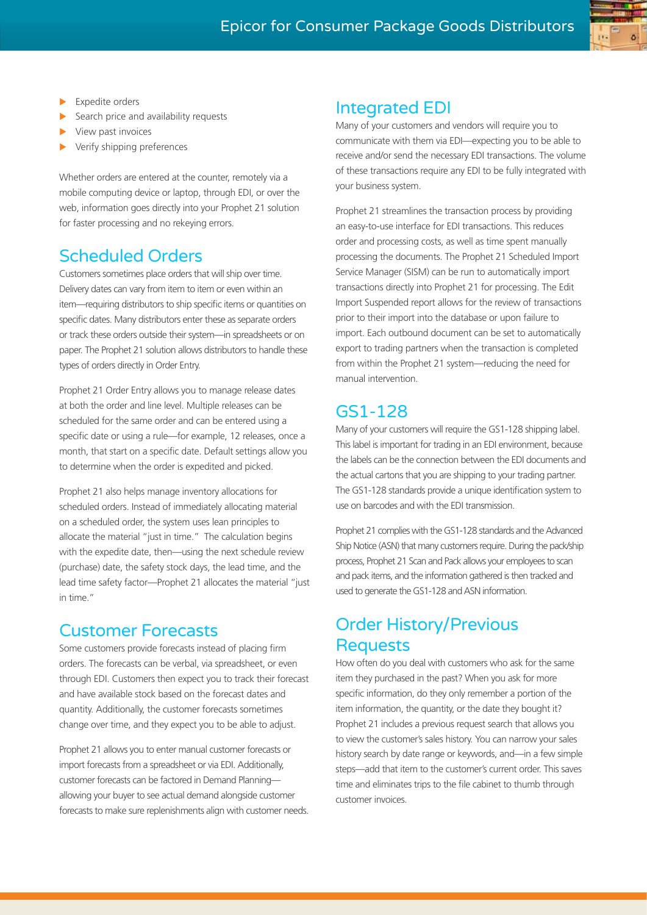

- Expedite orders
- Search price and availability requests
- View past invoices
- Verify shipping preferences

Whether orders are entered at the counter, remotely via a mobile computing device or laptop, through EDI, or over the web, information goes directly into your Prophet 21 solution for faster processing and no rekeying errors.

## Scheduled Orders

Customers sometimes place orders that will ship over time. Delivery dates can vary from item to item or even within an item—requiring distributors to ship specific items or quantities on specific dates. Many distributors enter these as separate orders or track these orders outside their system—in spreadsheets or on paper. The Prophet 21 solution allows distributors to handle these types of orders directly in Order Entry.

Prophet 21 Order Entry allows you to manage release dates at both the order and line level. Multiple releases can be scheduled for the same order and can be entered using a specific date or using a rule—for example, 12 releases, once a month, that start on a specific date. Default settings allow you to determine when the order is expedited and picked.

Prophet 21 also helps manage inventory allocations for scheduled orders. Instead of immediately allocating material on a scheduled order, the system uses lean principles to allocate the material "just in time." The calculation begins with the expedite date, then—using the next schedule review (purchase) date, the safety stock days, the lead time, and the lead time safety factor—Prophet 21 allocates the material "just in time."

#### Customer Forecasts

Some customers provide forecasts instead of placing firm orders. The forecasts can be verbal, via spreadsheet, or even through EDI. Customers then expect you to track their forecast and have available stock based on the forecast dates and quantity. Additionally, the customer forecasts sometimes change over time, and they expect you to be able to adjust.

Prophet 21 allows you to enter manual customer forecasts or import forecasts from a spreadsheet or via EDI. Additionally, customer forecasts can be factored in Demand Planning allowing your buyer to see actual demand alongside customer forecasts to make sure replenishments align with customer needs.

## Integrated EDI

Many of your customers and vendors will require you to communicate with them via EDI—expecting you to be able to receive and/or send the necessary EDI transactions. The volume of these transactions require any EDI to be fully integrated with your business system.

Prophet 21 streamlines the transaction process by providing an easy-to-use interface for EDI transactions. This reduces order and processing costs, as well as time spent manually processing the documents. The Prophet 21 Scheduled Import Service Manager (SISM) can be run to automatically import transactions directly into Prophet 21 for processing. The Edit Import Suspended report allows for the review of transactions prior to their import into the database or upon failure to import. Each outbound document can be set to automatically export to trading partners when the transaction is completed from within the Prophet 21 system—reducing the need for manual intervention.

## GS1-128

Many of your customers will require the GS1-128 shipping label. This label is important for trading in an EDI environment, because the labels can be the connection between the EDI documents and the actual cartons that you are shipping to your trading partner. The GS1-128 standards provide a unique identification system to use on barcodes and with the EDI transmission.

Prophet 21 complies with the GS1-128 standards and the Advanced Ship Notice (ASN) that many customers require. During the pack/ship process, Prophet 21 Scan and Pack allows your employees to scan and pack items, and the information gathered is then tracked and used to generate the GS1-128 and ASN information.

## Order History/Previous Requests

How often do you deal with customers who ask for the same item they purchased in the past? When you ask for more specific information, do they only remember a portion of the item information, the quantity, or the date they bought it? Prophet 21 includes a previous request search that allows you to view the customer's sales history. You can narrow your sales history search by date range or keywords, and—in a few simple steps—add that item to the customer's current order. This saves time and eliminates trips to the file cabinet to thumb through customer invoices.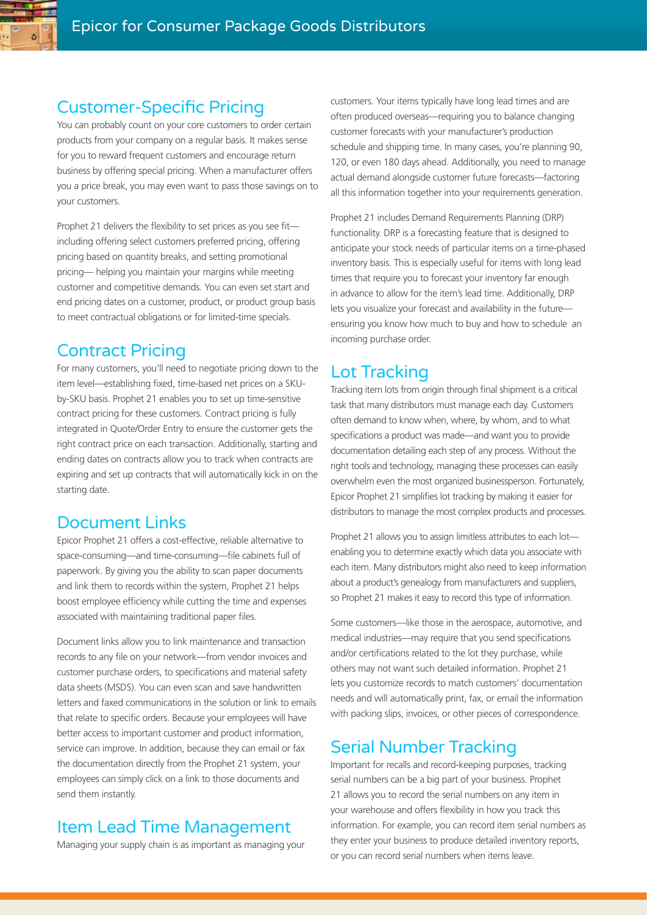#### Customer-Specific Pricing

You can probably count on your core customers to order certain products from your company on a regular basis. It makes sense for you to reward frequent customers and encourage return business by offering special pricing. When a manufacturer offers you a price break, you may even want to pass those savings on to your customers.

Prophet 21 delivers the flexibility to set prices as you see fit including offering select customers preferred pricing, offering pricing based on quantity breaks, and setting promotional pricing— helping you maintain your margins while meeting customer and competitive demands. You can even set start and end pricing dates on a customer, product, or product group basis to meet contractual obligations or for limited-time specials.

#### Contract Pricing

For many customers, you'll need to negotiate pricing down to the item level—establishing fixed, time-based net prices on a SKUby-SKU basis. Prophet 21 enables you to set up time-sensitive contract pricing for these customers. Contract pricing is fully integrated in Quote/Order Entry to ensure the customer gets the right contract price on each transaction. Additionally, starting and ending dates on contracts allow you to track when contracts are expiring and set up contracts that will automatically kick in on the starting date.

## Document Links

Epicor Prophet 21 offers a cost-effective, reliable alternative to space-consuming—and time-consuming—file cabinets full of paperwork. By giving you the ability to scan paper documents and link them to records within the system, Prophet 21 helps boost employee efficiency while cutting the time and expenses associated with maintaining traditional paper files.

Document links allow you to link maintenance and transaction records to any file on your network—from vendor invoices and customer purchase orders, to specifications and material safety data sheets (MSDS). You can even scan and save handwritten letters and faxed communications in the solution or link to emails that relate to specific orders. Because your employees will have better access to important customer and product information, service can improve. In addition, because they can email or fax the documentation directly from the Prophet 21 system, your employees can simply click on a link to those documents and send them instantly.

## Item Lead Time Management

Managing your supply chain is as important as managing your

customers. Your items typically have long lead times and are often produced overseas—requiring you to balance changing customer forecasts with your manufacturer's production schedule and shipping time. In many cases, you're planning 90, 120, or even 180 days ahead. Additionally, you need to manage actual demand alongside customer future forecasts—factoring all this information together into your requirements generation.

Prophet 21 includes Demand Requirements Planning (DRP) functionality. DRP is a forecasting feature that is designed to anticipate your stock needs of particular items on a time-phased inventory basis. This is especially useful for items with long lead times that require you to forecast your inventory far enough in advance to allow for the item's lead time. Additionally, DRP lets you visualize your forecast and availability in the future ensuring you know how much to buy and how to schedule an incoming purchase order.

### Lot Tracking

Tracking item lots from origin through final shipment is a critical task that many distributors must manage each day. Customers often demand to know when, where, by whom, and to what specifications a product was made—and want you to provide documentation detailing each step of any process. Without the right tools and technology, managing these processes can easily overwhelm even the most organized businessperson. Fortunately, Epicor Prophet 21 simplifies lot tracking by making it easier for distributors to manage the most complex products and processes.

Prophet 21 allows you to assign limitless attributes to each lot enabling you to determine exactly which data you associate with each item. Many distributors might also need to keep information about a product's genealogy from manufacturers and suppliers, so Prophet 21 makes it easy to record this type of information.

Some customers—like those in the aerospace, automotive, and medical industries—may require that you send specifications and/or certifications related to the lot they purchase, while others may not want such detailed information. Prophet 21 lets you customize records to match customers' documentation needs and will automatically print, fax, or email the information with packing slips, invoices, or other pieces of correspondence.

## Serial Number Tracking

Important for recalls and record-keeping purposes, tracking serial numbers can be a big part of your business. Prophet 21 allows you to record the serial numbers on any item in your warehouse and offers flexibility in how you track this information. For example, you can record item serial numbers as they enter your business to produce detailed inventory reports, or you can record serial numbers when items leave.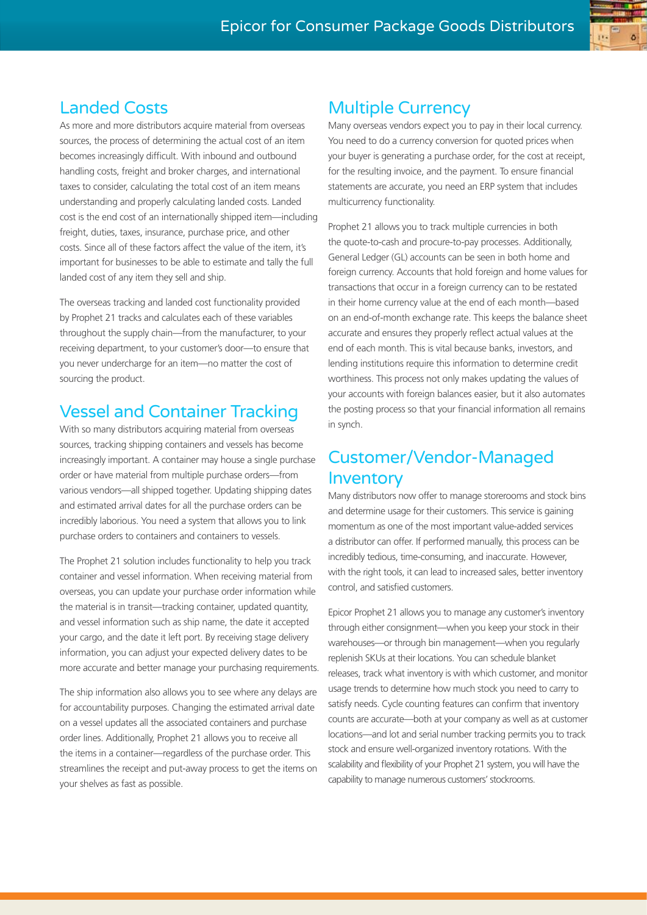#### Landed Costs

As more and more distributors acquire material from overseas sources, the process of determining the actual cost of an item becomes increasingly difficult. With inbound and outbound handling costs, freight and broker charges, and international taxes to consider, calculating the total cost of an item means understanding and properly calculating landed costs. Landed cost is the end cost of an internationally shipped item—including freight, duties, taxes, insurance, purchase price, and other costs. Since all of these factors affect the value of the item, it's important for businesses to be able to estimate and tally the full landed cost of any item they sell and ship.

The overseas tracking and landed cost functionality provided by Prophet 21 tracks and calculates each of these variables throughout the supply chain—from the manufacturer, to your receiving department, to your customer's door—to ensure that you never undercharge for an item—no matter the cost of sourcing the product.

### Vessel and Container Tracking

With so many distributors acquiring material from overseas sources, tracking shipping containers and vessels has become increasingly important. A container may house a single purchase order or have material from multiple purchase orders—from various vendors—all shipped together. Updating shipping dates and estimated arrival dates for all the purchase orders can be incredibly laborious. You need a system that allows you to link purchase orders to containers and containers to vessels.

The Prophet 21 solution includes functionality to help you track container and vessel information. When receiving material from overseas, you can update your purchase order information while the material is in transit—tracking container, updated quantity, and vessel information such as ship name, the date it accepted your cargo, and the date it left port. By receiving stage delivery information, you can adjust your expected delivery dates to be more accurate and better manage your purchasing requirements.

The ship information also allows you to see where any delays are for accountability purposes. Changing the estimated arrival date on a vessel updates all the associated containers and purchase order lines. Additionally, Prophet 21 allows you to receive all the items in a container—regardless of the purchase order. This streamlines the receipt and put-away process to get the items on your shelves as fast as possible.

#### Multiple Currency

Many overseas vendors expect you to pay in their local currency. You need to do a currency conversion for quoted prices when your buyer is generating a purchase order, for the cost at receipt, for the resulting invoice, and the payment. To ensure financial statements are accurate, you need an ERP system that includes multicurrency functionality.

Prophet 21 allows you to track multiple currencies in both the quote-to-cash and procure-to-pay processes. Additionally, General Ledger (GL) accounts can be seen in both home and foreign currency. Accounts that hold foreign and home values for transactions that occur in a foreign currency can to be restated in their home currency value at the end of each month—based on an end-of-month exchange rate. This keeps the balance sheet accurate and ensures they properly reflect actual values at the end of each month. This is vital because banks, investors, and lending institutions require this information to determine credit worthiness. This process not only makes updating the values of your accounts with foreign balances easier, but it also automates the posting process so that your financial information all remains in synch.

### Customer/Vendor-Managed Inventory

Many distributors now offer to manage storerooms and stock bins and determine usage for their customers. This service is gaining momentum as one of the most important value-added services a distributor can offer. If performed manually, this process can be incredibly tedious, time-consuming, and inaccurate. However, with the right tools, it can lead to increased sales, better inventory control, and satisfied customers.

Epicor Prophet 21 allows you to manage any customer's inventory through either consignment—when you keep your stock in their warehouses—or through bin management—when you regularly replenish SKUs at their locations. You can schedule blanket releases, track what inventory is with which customer, and monitor usage trends to determine how much stock you need to carry to satisfy needs. Cycle counting features can confirm that inventory counts are accurate—both at your company as well as at customer locations—and lot and serial number tracking permits you to track stock and ensure well-organized inventory rotations. With the scalability and flexibility of your Prophet 21 system, you will have the capability to manage numerous customers' stockrooms.